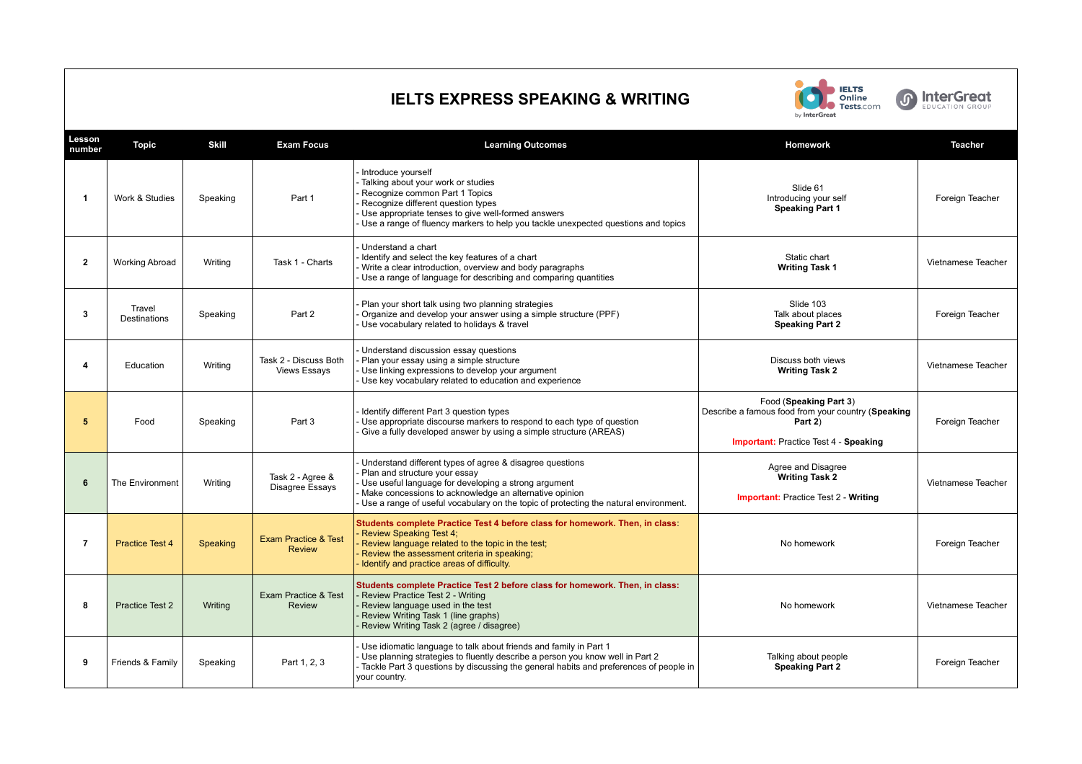## **IELTS EXPRESS SPEAKING & WRITING**



**6 InterGreat** 

| Lesson<br>number        | <b>Topic</b>                  | <b>Skill</b> | <b>Exam Focus</b>                                | <b>Learning Outcomes</b>                                                                                                                                                                                                                                                                            | Homework                                                                                                                                | <b>Teacher</b>     |
|-------------------------|-------------------------------|--------------|--------------------------------------------------|-----------------------------------------------------------------------------------------------------------------------------------------------------------------------------------------------------------------------------------------------------------------------------------------------------|-----------------------------------------------------------------------------------------------------------------------------------------|--------------------|
| -1                      | Work & Studies                | Speaking     | Part 1                                           | Introduce yourself<br>Talking about your work or studies<br>Recognize common Part 1 Topics<br>Recognize different question types<br>Use appropriate tenses to give well-formed answers<br>Use a range of fluency markers to help you tackle unexpected questions and topics                         | Slide 61<br>Introducing your self<br><b>Speaking Part 1</b>                                                                             | Foreign Teacher    |
| $\overline{\mathbf{2}}$ | <b>Working Abroad</b>         | Writing      | Task 1 - Charts                                  | Understand a chart<br>Identify and select the key features of a chart<br>Write a clear introduction, overview and body paragraphs<br>Use a range of language for describing and comparing quantities                                                                                                | Static chart<br><b>Writing Task 1</b>                                                                                                   | Vietnamese Teacher |
| 3                       | Travel<br><b>Destinations</b> | Speaking     | Part 2                                           | Plan your short talk using two planning strategies<br>Organize and develop your answer using a simple structure (PPF)<br>Use vocabulary related to holidays & travel                                                                                                                                | Slide 103<br>Talk about places<br><b>Speaking Part 2</b>                                                                                | Foreign Teacher    |
| $\overline{\mathbf{4}}$ | Education                     | Writing      | Task 2 - Discuss Both<br><b>Views Essays</b>     | Understand discussion essay questions<br>Plan your essay using a simple structure<br>Use linking expressions to develop your argument<br>Use key vocabulary related to education and experience                                                                                                     | Discuss both views<br><b>Writing Task 2</b>                                                                                             | Vietnamese Teacher |
| 5                       | Food                          | Speaking     | Part 3                                           | Identify different Part 3 question types<br>Use appropriate discourse markers to respond to each type of question<br>Give a fully developed answer by using a simple structure (AREAS)                                                                                                              | Food (Speaking Part 3)<br>Describe a famous food from your country (Speaking<br>Part 2)<br><b>Important:</b> Practice Test 4 - Speaking | Foreign Teacher    |
| 6                       | The Environment               | Writing      | Task 2 - Agree &<br>Disagree Essays              | Understand different types of agree & disagree questions<br>Plan and structure your essay<br>Use useful language for developing a strong argument<br>Make concessions to acknowledge an alternative opinion<br>Use a range of useful vocabulary on the topic of protecting the natural environment. | Agree and Disagree<br><b>Writing Task 2</b><br><b>Important:</b> Practice Test 2 - Writing                                              | Vietnamese Teacher |
| 7                       | <b>Practice Test 4</b>        | Speaking     | <b>Exam Practice &amp; Test</b><br><b>Review</b> | Students complete Practice Test 4 before class for homework. Then, in class:<br><b>Review Speaking Test 4:</b><br>Review language related to the topic in the test;<br>Review the assessment criteria in speaking;<br>Identify and practice areas of difficulty.                                    | No homework                                                                                                                             | Foreign Teacher    |
| 8                       | Practice Test 2               | Writing      | Exam Practice & Test<br><b>Review</b>            | Students complete Practice Test 2 before class for homework. Then, in class:<br>Review Practice Test 2 - Writing<br>Review language used in the test<br>Review Writing Task 1 (line graphs)<br>Review Writing Task 2 (agree / disagree)                                                             | No homework                                                                                                                             | Vietnamese Teacher |
| 9                       | Friends & Family              | Speaking     | Part 1, 2, 3                                     | Use idiomatic language to talk about friends and family in Part 1<br>- Use planning strategies to fluently describe a person you know well in Part 2<br>Tackle Part 3 questions by discussing the general habits and preferences of people in<br>your country.                                      | Talking about people<br><b>Speaking Part 2</b>                                                                                          | Foreign Teacher    |